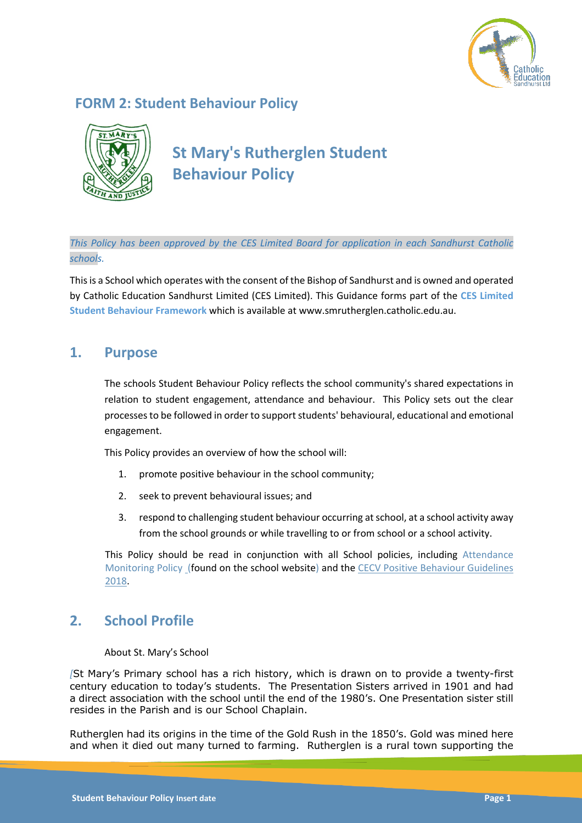

# **FORM 2: Student Behaviour Policy**



**St Mary's Rutherglen Student Behaviour Policy**

*This Policy has been approved by the CES Limited Board for application in each Sandhurst Catholic schools.*

This is a School which operates with the consent of the Bishop of Sandhurst and is owned and operated by Catholic Education Sandhurst Limited (CES Limited). This Guidance forms part of the **CES Limited Student Behaviour Framework** which is available at www.smrutherglen.catholic.edu.au.

## **1. Purpose**

The schools Student Behaviour Policy reflects the school community's shared expectations in relation to student engagement, attendance and behaviour. This Policy sets out the clear processes to be followed in order to support students' behavioural, educational and emotional engagement.

This Policy provides an overview of how the school will:

- 1. promote positive behaviour in the school community;
- 2. seek to prevent behavioural issues; and
- 3. respond to challenging student behaviour occurring at school, at a school activity away from the school grounds or while travelling to or from school or a school activity.

This Policy should be read in conjunction with all School policies, including Attendance Monitoring Policy (found on the school website) and the CECV Positive Behaviour Guidelines 2018.

# **2. School Profile**

### About St. Mary's School

*[*St Mary's Primary school has a rich history, which is drawn on to provide a twenty-first century education to today's students. The Presentation Sisters arrived in 1901 and had a direct association with the school until the end of the 1980's. One Presentation sister still resides in the Parish and is our School Chaplain.

Rutherglen had its origins in the time of the Gold Rush in the 1850's. Gold was mined here and when it died out many turned to farming. Rutherglen is a rural town supporting the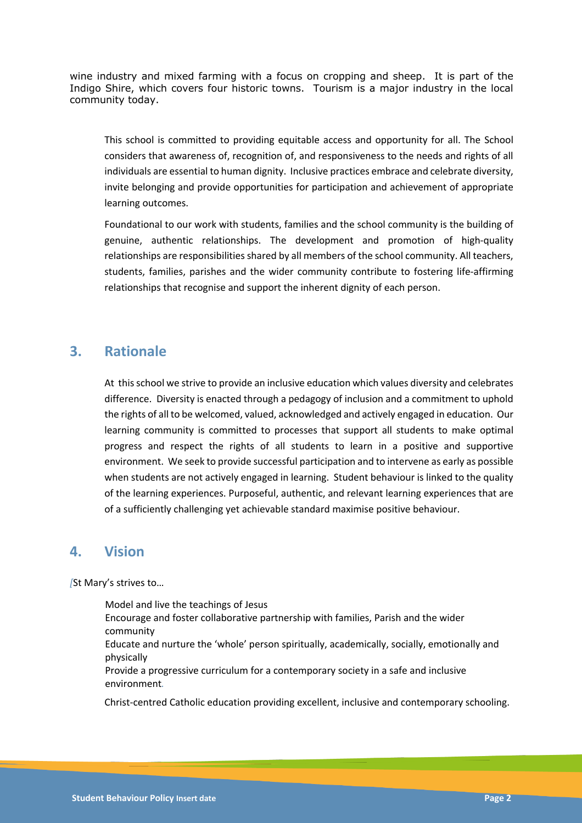wine industry and mixed farming with a focus on cropping and sheep. It is part of the Indigo Shire, which covers four historic towns. Tourism is a major industry in the local community today.

This school is committed to providing equitable access and opportunity for all. The School considers that awareness of, recognition of, and responsiveness to the needs and rights of all individuals are essential to human dignity. Inclusive practices embrace and celebrate diversity, invite belonging and provide opportunities for participation and achievement of appropriate learning outcomes.

Foundational to our work with students, families and the school community is the building of genuine, authentic relationships. The development and promotion of high-quality relationships are responsibilities shared by all members of the school community. All teachers, students, families, parishes and the wider community contribute to fostering life-affirming relationships that recognise and support the inherent dignity of each person.

## **3. Rationale**

At this school we strive to provide an inclusive education which values diversity and celebrates difference. Diversity is enacted through a pedagogy of inclusion and a commitment to uphold the rights of all to be welcomed, valued, acknowledged and actively engaged in education. Our learning community is committed to processes that support all students to make optimal progress and respect the rights of all students to learn in a positive and supportive environment. We seek to provide successful participation and to intervene as early as possible when students are not actively engaged in learning. Student behaviour is linked to the quality of the learning experiences. Purposeful, authentic, and relevant learning experiences that are of a sufficiently challenging yet achievable standard maximise positive behaviour.

### **4. Vision**

*[*St Mary's strives to…

Model and live the teachings of Jesus

Encourage and foster collaborative partnership with families, Parish and the wider community

Educate and nurture the 'whole' person spiritually, academically, socially, emotionally and physically

Provide a progressive curriculum for a contemporary society in a safe and inclusive environment*.*

Christ-centred Catholic education providing excellent, inclusive and contemporary schooling.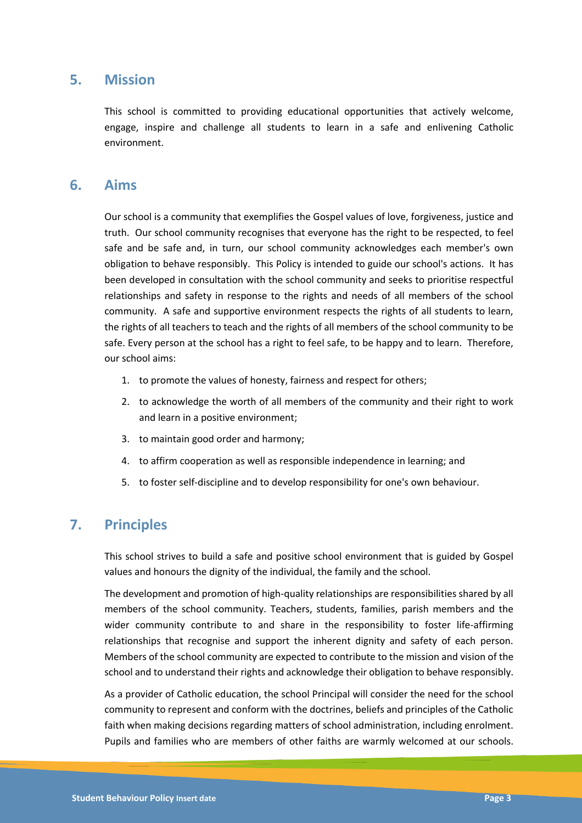### **5. Mission**

This school is committed to providing educational opportunities that actively welcome, engage, inspire and challenge all students to learn in a safe and enlivening Catholic environment.

## **6. Aims**

Our school is a community that exemplifies the Gospel values of love, forgiveness, justice and truth. Our school community recognises that everyone has the right to be respected, to feel safe and be safe and, in turn, our school community acknowledges each member's own obligation to behave responsibly. This Policy is intended to guide our school's actions. It has been developed in consultation with the school community and seeks to prioritise respectful relationships and safety in response to the rights and needs of all members of the school community. A safe and supportive environment respects the rights of all students to learn, the rights of all teachers to teach and the rights of all members of the school community to be safe. Every person at the school has a right to feel safe, to be happy and to learn. Therefore, our school aims:

- 1. to promote the values of honesty, fairness and respect for others;
- 2. to acknowledge the worth of all members of the community and their right to work and learn in a positive environment;
- 3. to maintain good order and harmony;
- 4. to affirm cooperation as well as responsible independence in learning; and
- 5. to foster self-discipline and to develop responsibility for one's own behaviour.

## **7. Principles**

This school strives to build a safe and positive school environment that is guided by Gospel values and honours the dignity of the individual, the family and the school.

The development and promotion of high-quality relationships are responsibilities shared by all members of the school community. Teachers, students, families, parish members and the wider community contribute to and share in the responsibility to foster life-affirming relationships that recognise and support the inherent dignity and safety of each person. Members of the school community are expected to contribute to the mission and vision of the school and to understand their rights and acknowledge their obligation to behave responsibly.

As a provider of Catholic education, the school Principal will consider the need for the school community to represent and conform with the doctrines, beliefs and principles of the Catholic faith when making decisions regarding matters of school administration, including enrolment. Pupils and families who are members of other faiths are warmly welcomed at our schools.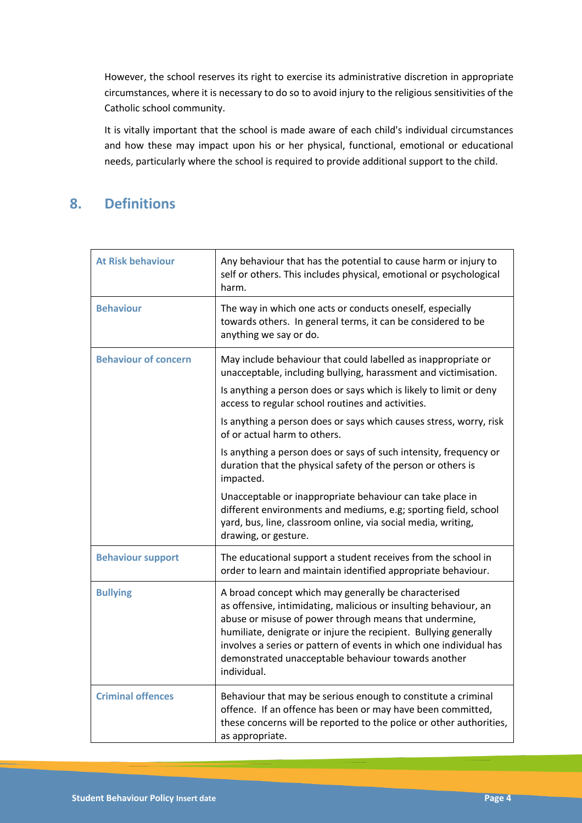However, the school reserves its right to exercise its administrative discretion in appropriate circumstances, where it is necessary to do so to avoid injury to the religious sensitivities of the Catholic school community.

It is vitally important that the school is made aware of each child's individual circumstances and how these may impact upon his or her physical, functional, emotional or educational needs, particularly where the school is required to provide additional support to the child.

# **8. Definitions**

| <b>At Risk behaviour</b>    | Any behaviour that has the potential to cause harm or injury to<br>self or others. This includes physical, emotional or psychological<br>harm.                                                                                                                                                                                                                                                     |
|-----------------------------|----------------------------------------------------------------------------------------------------------------------------------------------------------------------------------------------------------------------------------------------------------------------------------------------------------------------------------------------------------------------------------------------------|
| <b>Behaviour</b>            | The way in which one acts or conducts oneself, especially<br>towards others. In general terms, it can be considered to be<br>anything we say or do.                                                                                                                                                                                                                                                |
| <b>Behaviour of concern</b> | May include behaviour that could labelled as inappropriate or<br>unacceptable, including bullying, harassment and victimisation.<br>Is anything a person does or says which is likely to limit or deny<br>access to regular school routines and activities.                                                                                                                                        |
|                             | Is anything a person does or says which causes stress, worry, risk<br>of or actual harm to others.                                                                                                                                                                                                                                                                                                 |
|                             | Is anything a person does or says of such intensity, frequency or<br>duration that the physical safety of the person or others is<br>impacted.                                                                                                                                                                                                                                                     |
|                             | Unacceptable or inappropriate behaviour can take place in<br>different environments and mediums, e.g; sporting field, school<br>yard, bus, line, classroom online, via social media, writing,<br>drawing, or gesture.                                                                                                                                                                              |
| <b>Behaviour support</b>    | The educational support a student receives from the school in<br>order to learn and maintain identified appropriate behaviour.                                                                                                                                                                                                                                                                     |
| <b>Bullying</b>             | A broad concept which may generally be characterised<br>as offensive, intimidating, malicious or insulting behaviour, an<br>abuse or misuse of power through means that undermine,<br>humiliate, denigrate or injure the recipient. Bullying generally<br>involves a series or pattern of events in which one individual has<br>demonstrated unacceptable behaviour towards another<br>individual. |
| <b>Criminal offences</b>    | Behaviour that may be serious enough to constitute a criminal<br>offence. If an offence has been or may have been committed,<br>these concerns will be reported to the police or other authorities,<br>as appropriate.                                                                                                                                                                             |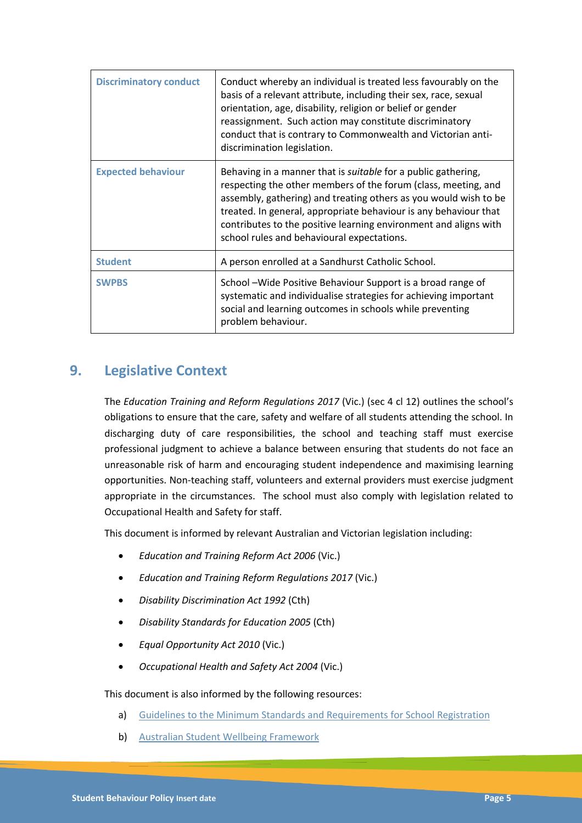| <b>Discriminatory conduct</b> | Conduct whereby an individual is treated less favourably on the<br>basis of a relevant attribute, including their sex, race, sexual<br>orientation, age, disability, religion or belief or gender<br>reassignment. Such action may constitute discriminatory<br>conduct that is contrary to Commonwealth and Victorian anti-<br>discrimination legislation.                                      |
|-------------------------------|--------------------------------------------------------------------------------------------------------------------------------------------------------------------------------------------------------------------------------------------------------------------------------------------------------------------------------------------------------------------------------------------------|
| <b>Expected behaviour</b>     | Behaving in a manner that is <i>suitable</i> for a public gathering,<br>respecting the other members of the forum (class, meeting, and<br>assembly, gathering) and treating others as you would wish to be<br>treated. In general, appropriate behaviour is any behaviour that<br>contributes to the positive learning environment and aligns with<br>school rules and behavioural expectations. |
| <b>Student</b>                | A person enrolled at a Sandhurst Catholic School.                                                                                                                                                                                                                                                                                                                                                |
| <b>SWPBS</b>                  | School – Wide Positive Behaviour Support is a broad range of<br>systematic and individualise strategies for achieving important<br>social and learning outcomes in schools while preventing<br>problem behaviour.                                                                                                                                                                                |

## **9. Legislative Context**

The *Education Training and Reform Regulations 2017* (Vic.) (sec 4 cl 12) outlines the school's obligations to ensure that the care, safety and welfare of all students attending the school. In discharging duty of care responsibilities, the school and teaching staff must exercise professional judgment to achieve a balance between ensuring that students do not face an unreasonable risk of harm and encouraging student independence and maximising learning opportunities. Non-teaching staff, volunteers and external providers must exercise judgment appropriate in the circumstances. The school must also comply with legislation related to Occupational Health and Safety for staff.

This document is informed by relevant Australian and Victorian legislation including:

- *Education and Training Reform Act 2006* (Vic.)
- *Education and Training Reform Regulations 2017* (Vic.)
- *Disability Discrimination Act 1992* (Cth)
- *Disability Standards for Education 2005* (Cth)
- *Equal Opportunity Act 2010* (Vic.)
- *Occupational Health and Safety Act 2004* (Vic.)

### This document is also informed by the following resources:

- a) Guidelines to the Minimum Standards and Requirements for School Registration
- b) Australian Student Wellbeing Framework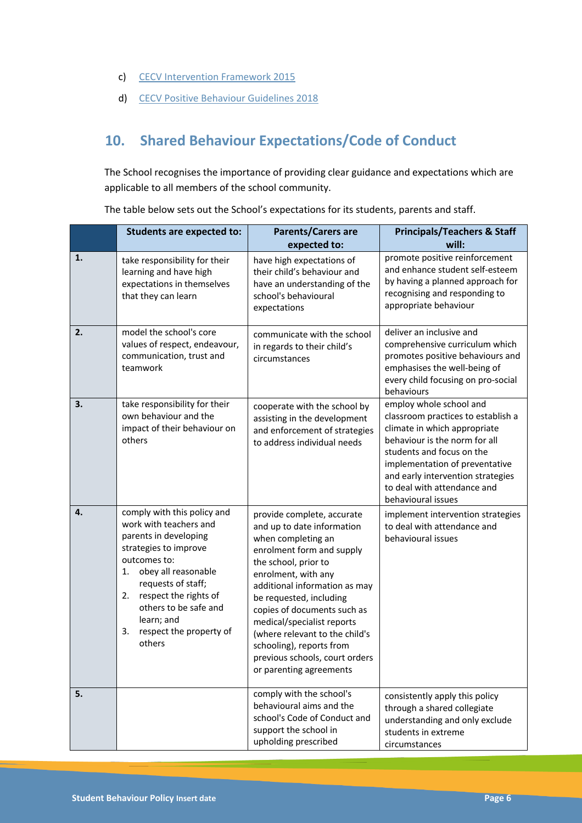- c) CECV Intervention Framework 2015
- d) CECV Positive Behaviour Guidelines 2018

# **10. Shared Behaviour Expectations/Code of Conduct**

The School recognises the importance of providing clear guidance and expectations which are applicable to all members of the school community.

|    | <b>Students are expected to:</b>                                                                                                                                                                                                                                                            | <b>Parents/Carers are</b><br>expected to:                                                                                                                                                                                                                                                                                                                                                                      | <b>Principals/Teachers &amp; Staff</b><br>will:                                                                                                                                                                                                                                         |
|----|---------------------------------------------------------------------------------------------------------------------------------------------------------------------------------------------------------------------------------------------------------------------------------------------|----------------------------------------------------------------------------------------------------------------------------------------------------------------------------------------------------------------------------------------------------------------------------------------------------------------------------------------------------------------------------------------------------------------|-----------------------------------------------------------------------------------------------------------------------------------------------------------------------------------------------------------------------------------------------------------------------------------------|
| 1. | take responsibility for their<br>learning and have high<br>expectations in themselves<br>that they can learn                                                                                                                                                                                | have high expectations of<br>their child's behaviour and<br>have an understanding of the<br>school's behavioural<br>expectations                                                                                                                                                                                                                                                                               | promote positive reinforcement<br>and enhance student self-esteem<br>by having a planned approach for<br>recognising and responding to<br>appropriate behaviour                                                                                                                         |
| 2. | model the school's core<br>values of respect, endeavour,<br>communication, trust and<br>teamwork                                                                                                                                                                                            | communicate with the school<br>in regards to their child's<br>circumstances                                                                                                                                                                                                                                                                                                                                    | deliver an inclusive and<br>comprehensive curriculum which<br>promotes positive behaviours and<br>emphasises the well-being of<br>every child focusing on pro-social<br>behaviours                                                                                                      |
| 3. | take responsibility for their<br>own behaviour and the<br>impact of their behaviour on<br>others                                                                                                                                                                                            | cooperate with the school by<br>assisting in the development<br>and enforcement of strategies<br>to address individual needs                                                                                                                                                                                                                                                                                   | employ whole school and<br>classroom practices to establish a<br>climate in which appropriate<br>behaviour is the norm for all<br>students and focus on the<br>implementation of preventative<br>and early intervention strategies<br>to deal with attendance and<br>behavioural issues |
| 4. | comply with this policy and<br>work with teachers and<br>parents in developing<br>strategies to improve<br>outcomes to:<br>obey all reasonable<br>1.<br>requests of staff;<br>respect the rights of<br>2.<br>others to be safe and<br>learn; and<br>3.<br>respect the property of<br>others | provide complete, accurate<br>and up to date information<br>when completing an<br>enrolment form and supply<br>the school, prior to<br>enrolment, with any<br>additional information as may<br>be requested, including<br>copies of documents such as<br>medical/specialist reports<br>(where relevant to the child's<br>schooling), reports from<br>previous schools, court orders<br>or parenting agreements | implement intervention strategies<br>to deal with attendance and<br>behavioural issues                                                                                                                                                                                                  |
| 5. |                                                                                                                                                                                                                                                                                             | comply with the school's<br>behavioural aims and the<br>school's Code of Conduct and<br>support the school in<br>upholding prescribed                                                                                                                                                                                                                                                                          | consistently apply this policy<br>through a shared collegiate<br>understanding and only exclude<br>students in extreme<br>circumstances                                                                                                                                                 |

The table below sets out the School's expectations for its students, parents and staff.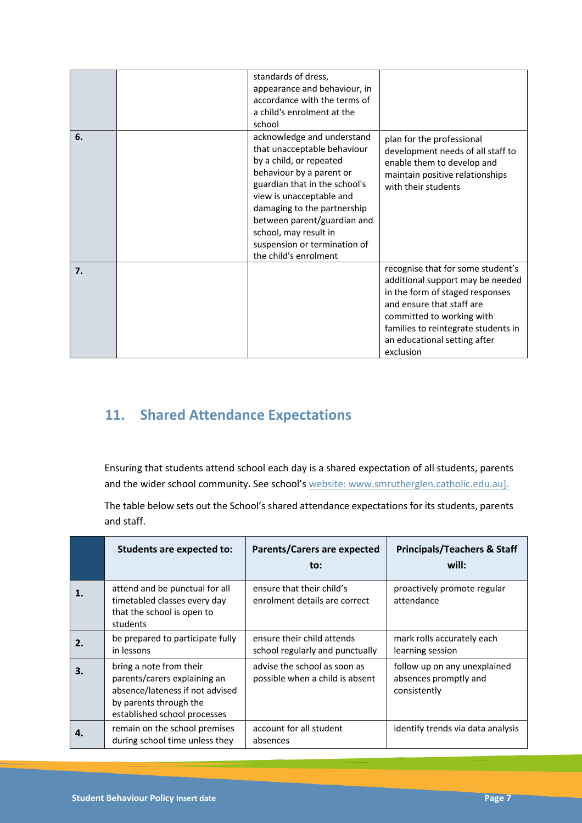|    | standards of dress,<br>appearance and behaviour, in<br>accordance with the terms of<br>a child's enrolment at the<br>school                                                                                                                                                                                                   |                                                                                                                                                                                                                                                        |
|----|-------------------------------------------------------------------------------------------------------------------------------------------------------------------------------------------------------------------------------------------------------------------------------------------------------------------------------|--------------------------------------------------------------------------------------------------------------------------------------------------------------------------------------------------------------------------------------------------------|
| 6. | acknowledge and understand<br>that unacceptable behaviour<br>by a child, or repeated<br>behaviour by a parent or<br>guardian that in the school's<br>view is unacceptable and<br>damaging to the partnership<br>between parent/guardian and<br>school, may result in<br>suspension or termination of<br>the child's enrolment | plan for the professional<br>development needs of all staff to<br>enable them to develop and<br>maintain positive relationships<br>with their students                                                                                                 |
| 7. |                                                                                                                                                                                                                                                                                                                               | recognise that for some student's<br>additional support may be needed<br>in the form of staged responses<br>and ensure that staff are<br>committed to working with<br>families to reintegrate students in<br>an educational setting after<br>exclusion |

# **11. Shared Attendance Expectations**

Ensuring that students attend school each day is a shared expectation of all students, parents and the wider school community. See school's website: www.smrutherglen.catholic.edu.au].

The table below sets out the School's shared attendance expectations for its students, parents and staff.

|    | Students are expected to:                                                                                                                            | <b>Parents/Carers are expected</b><br>to:                       | <b>Principals/Teachers &amp; Staff</b><br>will:                       |
|----|------------------------------------------------------------------------------------------------------------------------------------------------------|-----------------------------------------------------------------|-----------------------------------------------------------------------|
|    | attend and be punctual for all<br>timetabled classes every day<br>that the school is open to<br>students                                             | ensure that their child's<br>enrolment details are correct      | proactively promote regular<br>attendance                             |
| 2. | be prepared to participate fully<br>in lessons                                                                                                       | ensure their child attends<br>school regularly and punctually   | mark rolls accurately each<br>learning session                        |
| 3. | bring a note from their<br>parents/carers explaining an<br>absence/lateness if not advised<br>by parents through the<br>established school processes | advise the school as soon as<br>possible when a child is absent | follow up on any unexplained<br>absences promptly and<br>consistently |
|    | remain on the school premises<br>during school time unless they                                                                                      | account for all student<br>absences                             | identify trends via data analysis                                     |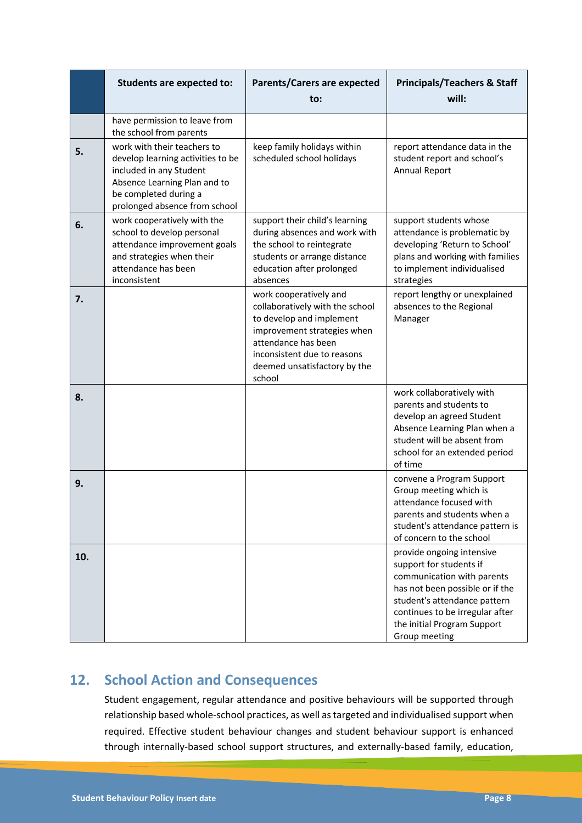|     | <b>Students are expected to:</b>                                                                                                                                                      | <b>Parents/Carers are expected</b><br>to:                                                                                                                                                                            | <b>Principals/Teachers &amp; Staff</b><br>will:                                                                                                                                                                                          |
|-----|---------------------------------------------------------------------------------------------------------------------------------------------------------------------------------------|----------------------------------------------------------------------------------------------------------------------------------------------------------------------------------------------------------------------|------------------------------------------------------------------------------------------------------------------------------------------------------------------------------------------------------------------------------------------|
|     | have permission to leave from<br>the school from parents                                                                                                                              |                                                                                                                                                                                                                      |                                                                                                                                                                                                                                          |
| 5.  | work with their teachers to<br>develop learning activities to be<br>included in any Student<br>Absence Learning Plan and to<br>be completed during a<br>prolonged absence from school | keep family holidays within<br>scheduled school holidays                                                                                                                                                             | report attendance data in the<br>student report and school's<br><b>Annual Report</b>                                                                                                                                                     |
| 6.  | work cooperatively with the<br>school to develop personal<br>attendance improvement goals<br>and strategies when their<br>attendance has been<br>inconsistent                         | support their child's learning<br>during absences and work with<br>the school to reintegrate<br>students or arrange distance<br>education after prolonged<br>absences                                                | support students whose<br>attendance is problematic by<br>developing 'Return to School'<br>plans and working with families<br>to implement individualised<br>strategies                                                                  |
| 7.  |                                                                                                                                                                                       | work cooperatively and<br>collaboratively with the school<br>to develop and implement<br>improvement strategies when<br>attendance has been<br>inconsistent due to reasons<br>deemed unsatisfactory by the<br>school | report lengthy or unexplained<br>absences to the Regional<br>Manager                                                                                                                                                                     |
| 8.  |                                                                                                                                                                                       |                                                                                                                                                                                                                      | work collaboratively with<br>parents and students to<br>develop an agreed Student<br>Absence Learning Plan when a<br>student will be absent from<br>school for an extended period<br>of time                                             |
| 9.  |                                                                                                                                                                                       |                                                                                                                                                                                                                      | convene a Program Support<br>Group meeting which is<br>attendance focused with<br>parents and students when a<br>student's attendance pattern is<br>of concern to the school                                                             |
| 10. |                                                                                                                                                                                       |                                                                                                                                                                                                                      | provide ongoing intensive<br>support for students if<br>communication with parents<br>has not been possible or if the<br>student's attendance pattern<br>continues to be irregular after<br>the initial Program Support<br>Group meeting |

# **12. School Action and Consequences**

Student engagement, regular attendance and positive behaviours will be supported through relationship based whole-school practices, as well as targeted and individualised support when required. Effective student behaviour changes and student behaviour support is enhanced through internally-based school support structures, and externally-based family, education,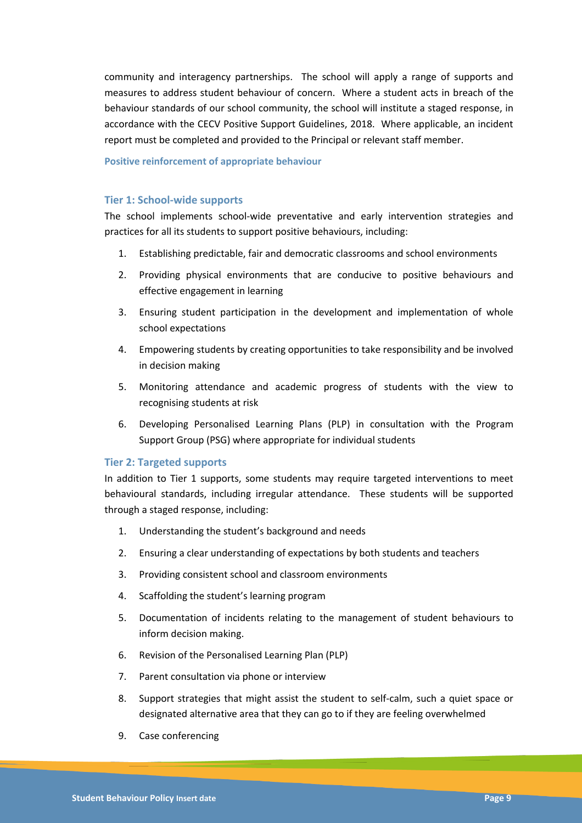community and interagency partnerships. The school will apply a range of supports and measures to address student behaviour of concern. Where a student acts in breach of the behaviour standards of our school community, the school will institute a staged response, in accordance with the CECV Positive Support Guidelines, 2018. Where applicable, an incident report must be completed and provided to the Principal or relevant staff member.

#### **Positive reinforcement of appropriate behaviour**

#### **Tier 1: School-wide supports**

The school implements school-wide preventative and early intervention strategies and practices for all its students to support positive behaviours, including:

- 1. Establishing predictable, fair and democratic classrooms and school environments
- 2. Providing physical environments that are conducive to positive behaviours and effective engagement in learning
- 3. Ensuring student participation in the development and implementation of whole school expectations
- 4. Empowering students by creating opportunities to take responsibility and be involved in decision making
- 5. Monitoring attendance and academic progress of students with the view to recognising students at risk
- 6. Developing Personalised Learning Plans (PLP) in consultation with the Program Support Group (PSG) where appropriate for individual students

### **Tier 2: Targeted supports**

In addition to Tier 1 supports, some students may require targeted interventions to meet behavioural standards, including irregular attendance. These students will be supported through a staged response, including:

- 1. Understanding the student's background and needs
- 2. Ensuring a clear understanding of expectations by both students and teachers
- 3. Providing consistent school and classroom environments
- 4. Scaffolding the student's learning program
- 5. Documentation of incidents relating to the management of student behaviours to inform decision making.
- 6. Revision of the Personalised Learning Plan (PLP)
- 7. Parent consultation via phone or interview
- 8. Support strategies that might assist the student to self-calm, such a quiet space or designated alternative area that they can go to if they are feeling overwhelmed
- 9. Case conferencing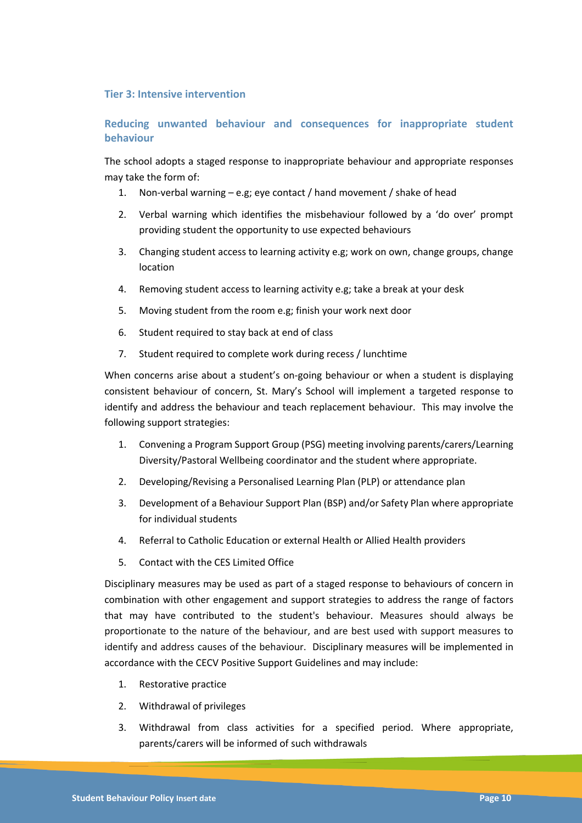### **Tier 3: Intensive intervention**

### **Reducing unwanted behaviour and consequences for inappropriate student behaviour**

The school adopts a staged response to inappropriate behaviour and appropriate responses may take the form of:

- 1. Non-verbal warning e.g; eye contact / hand movement / shake of head
- 2. Verbal warning which identifies the misbehaviour followed by a 'do over' prompt providing student the opportunity to use expected behaviours
- 3. Changing student access to learning activity e.g; work on own, change groups, change location
- 4. Removing student access to learning activity e.g; take a break at your desk
- 5. Moving student from the room e.g; finish your work next door
- 6. Student required to stay back at end of class
- 7. Student required to complete work during recess / lunchtime

When concerns arise about a student's on-going behaviour or when a student is displaying consistent behaviour of concern, St. Mary's School will implement a targeted response to identify and address the behaviour and teach replacement behaviour. This may involve the following support strategies:

- 1. Convening a Program Support Group (PSG) meeting involving parents/carers/Learning Diversity/Pastoral Wellbeing coordinator and the student where appropriate.
- 2. Developing/Revising a Personalised Learning Plan (PLP) or attendance plan
- 3. Development of a Behaviour Support Plan (BSP) and/or Safety Plan where appropriate for individual students
- 4. Referral to Catholic Education or external Health or Allied Health providers
- 5. Contact with the CES Limited Office

Disciplinary measures may be used as part of a staged response to behaviours of concern in combination with other engagement and support strategies to address the range of factors that may have contributed to the student's behaviour. Measures should always be proportionate to the nature of the behaviour, and are best used with support measures to identify and address causes of the behaviour. Disciplinary measures will be implemented in accordance with the CECV Positive Support Guidelines and may include:

- 1. Restorative practice
- 2. Withdrawal of privileges
- 3. Withdrawal from class activities for a specified period. Where appropriate, parents/carers will be informed of such withdrawals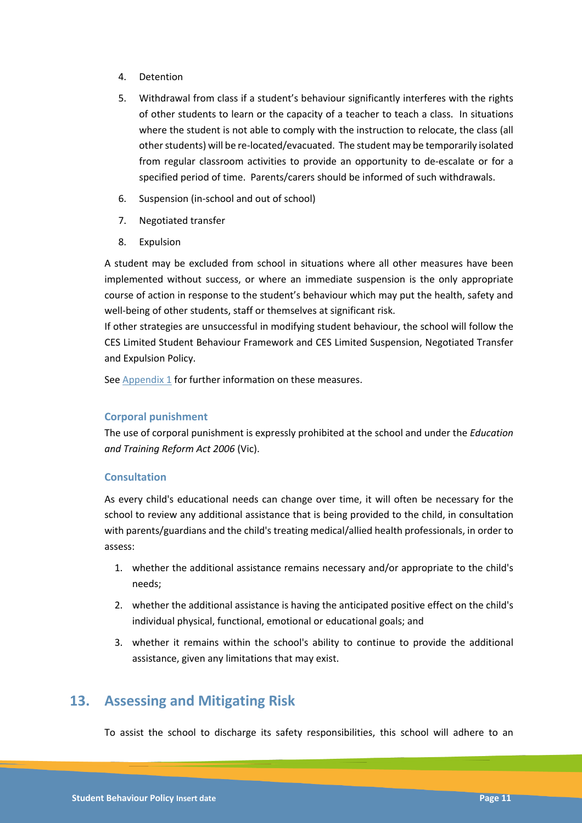- 4. Detention
- 5. Withdrawal from class if a student's behaviour significantly interferes with the rights of other students to learn or the capacity of a teacher to teach a class. In situations where the student is not able to comply with the instruction to relocate, the class (all other students) will be re-located/evacuated. The student may be temporarily isolated from regular classroom activities to provide an opportunity to de-escalate or for a specified period of time. Parents/carers should be informed of such withdrawals.
- 6. Suspension (in-school and out of school)
- 7. Negotiated transfer
- 8. Expulsion

A student may be excluded from school in situations where all other measures have been implemented without success, or where an immediate suspension is the only appropriate course of action in response to the student's behaviour which may put the health, safety and well-being of other students, staff or themselves at significant risk.

If other strategies are unsuccessful in modifying student behaviour, the school will follow the CES Limited Student Behaviour Framework and CES Limited Suspension, Negotiated Transfer and Expulsion Policy.

See Appendix 1 for further information on these measures.

### **Corporal punishment**

The use of corporal punishment is expressly prohibited at the school and under the *Education and Training Reform Act 2006* (Vic).

### **Consultation**

As every child's educational needs can change over time, it will often be necessary for the school to review any additional assistance that is being provided to the child, in consultation with parents/guardians and the child's treating medical/allied health professionals, in order to assess:

- 1. whether the additional assistance remains necessary and/or appropriate to the child's needs;
- 2. whether the additional assistance is having the anticipated positive effect on the child's individual physical, functional, emotional or educational goals; and
- 3. whether it remains within the school's ability to continue to provide the additional assistance, given any limitations that may exist.

## **13. Assessing and Mitigating Risk**

To assist the school to discharge its safety responsibilities, this school will adhere to an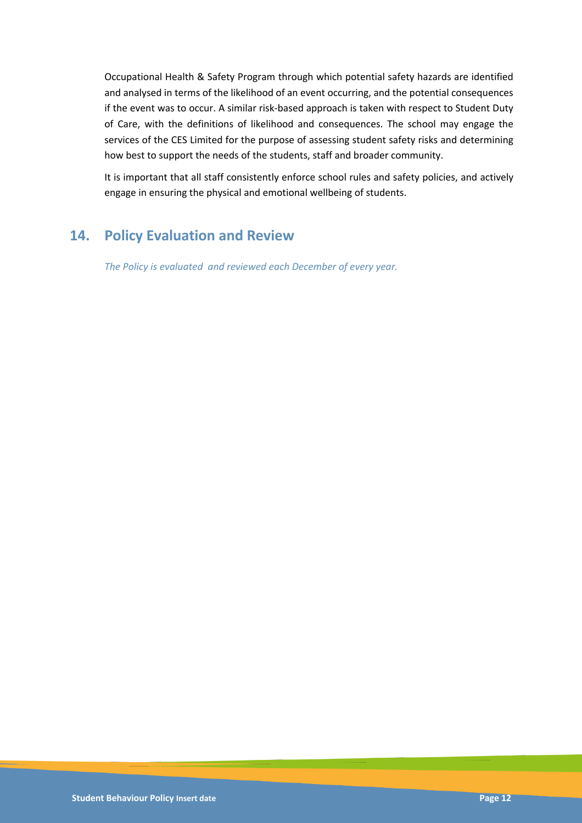Occupational Health & Safety Program through which potential safety hazards are identified and analysed in terms of the likelihood of an event occurring, and the potential consequences if the event was to occur. A similar risk-based approach is taken with respect to Student Duty of Care, with the definitions of likelihood and consequences. The school may engage the services of the CES Limited for the purpose of assessing student safety risks and determining how best to support the needs of the students, staff and broader community.

It is important that all staff consistently enforce school rules and safety policies, and actively engage in ensuring the physical and emotional wellbeing of students.

# **14. Policy Evaluation and Review**

*The Policy is evaluated and reviewed each December of every year.*